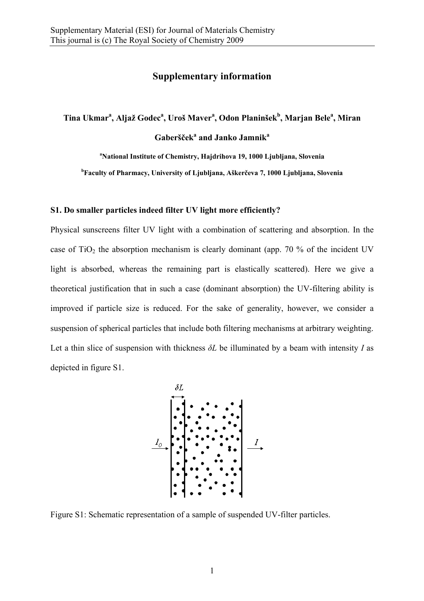## **Supplementary information**

 $\bf{Tina Ukmar^a, Alijaž Godec^a, Uroš Maver^a, Odon Planinšek^b, Marjan Bele^a, Miran$ 

**Gaberšček<sup>a</sup> and Janko Jamnik<sup>a</sup>**

**a National Institute of Chemistry, Hajdrihova 19, 1000 Ljubljana, Slovenia** 

**b Faculty of Pharmacy, University of Ljubljana, Aškerčeva 7, 1000 Ljubljana, Slovenia** 

## **S1. Do smaller particles indeed filter UV light more efficiently?**

Physical sunscreens filter UV light with a combination of scattering and absorption. In the case of  $TiO<sub>2</sub>$  the absorption mechanism is clearly dominant (app. 70 % of the incident UV light is absorbed, whereas the remaining part is elastically scattered). Here we give a theoretical justification that in such a case (dominant absorption) the UV-filtering ability is improved if particle size is reduced. For the sake of generality, however, we consider a suspension of spherical particles that include both filtering mechanisms at arbitrary weighting. Let a thin slice of suspension with thickness *δL* be illuminated by a beam with intensity *I* as depicted in figure S1.



Figure S1: Schematic representation of a sample of suspended UV-filter particles.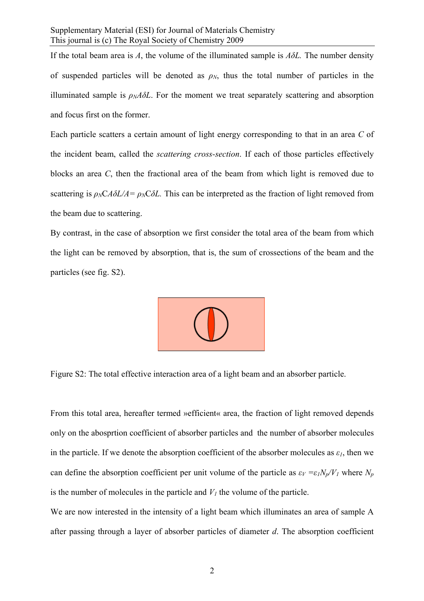If the total beam area is  $A$ , the volume of the illuminated sample is  $A\delta L$ . The number density of suspended particles will be denoted as  $\rho_N$ , thus the total number of particles in the illuminated sample is  $\rho_M A \delta L$ . For the moment we treat separately scattering and absorption and focus first on the former.

Each particle scatters a certain amount of light energy corresponding to that in an area *C* of the incident beam, called the *scattering cross-section*. If each of those particles effectively blocks an area *C*, then the fractional area of the beam from which light is removed due to scattering is  $\rho_NCA\delta L/A = \rho_NC\delta L$ . This can be interpreted as the fraction of light removed from the beam due to scattering.

By contrast, in the case of absorption we first consider the total area of the beam from which the light can be removed by absorption, that is, the sum of crossections of the beam and the particles (see fig. S2).



Figure S2: The total effective interaction area of a light beam and an absorber particle.

From this total area, hereafter termed »efficient« area, the fraction of light removed depends only on the abosprtion coefficient of absorber particles and the number of absorber molecules in the particle. If we denote the absorption coefficient of the absorber molecules as  $\varepsilon_l$ , then we can define the absorption coefficient per unit volume of the particle as  $\varepsilon_V = \varepsilon_I N_p/V_I$  where  $N_p$ is the number of molecules in the particle and  $V_I$  the volume of the particle.

We are now interested in the intensity of a light beam which illuminates an area of sample A after passing through a layer of absorber particles of diameter *d*. The absorption coefficient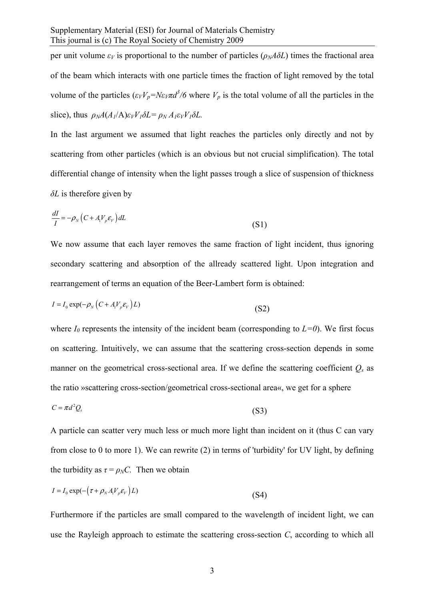per unit volume  $\varepsilon_V$  is proportional to the number of particles ( $\rho_N A \delta L$ ) times the fractional area of the beam which interacts with one particle times the fraction of light removed by the total volume of the particles  $(\varepsilon_V V_p = N \varepsilon_V \pi d^3/6$  where  $V_p$  is the total volume of all the particles in the slice), thus  $\rho_N A(A_I/A) \varepsilon_V V_I \delta L = \rho_N A_I \varepsilon_V V_I \delta L$ .

In the last argument we assumed that light reaches the particles only directly and not by scattering from other particles (which is an obvious but not crucial simplification). The total differential change of intensity when the light passes trough a slice of suspension of thickness *δL* is therefore given by

$$
\frac{dI}{I} = -\rho_N \left( C + A_1 V_p \varepsilon_V \right) dL \tag{S1}
$$

We now assume that each layer removes the same fraction of light incident, thus ignoring secondary scattering and absorption of the allready scattered light. Upon integration and rearrangement of terms an equation of the Beer-Lambert form is obtained:

$$
I = I_0 \exp(-\rho_N (C + A_1 V_p \varepsilon_V) L)
$$
\n(S2)

where  $I_0$  represents the intensity of the incident beam (corresponding to  $L=0$ ). We first focus on scattering. Intuitively, we can assume that the scattering cross-section depends in some manner on the geometrical cross-sectional area. If we define the scattering coefficient  $Q_s$  as the ratio »scattering cross-section/geometrical cross-sectional area«, we get for a sphere

$$
C = \pi d^2 Q_s \tag{S3}
$$

A particle can scatter very much less or much more light than incident on it (thus C can vary from close to 0 to more 1). We can rewrite (2) in terms of 'turbidity' for UV light, by defining the turbidity as  $\tau = \rho_N C$ . Then we obtain

$$
I = I_0 \exp(-(\tau + \rho_N A_i V_p \varepsilon_V) L)
$$
\n(S4)

Furthermore if the particles are small compared to the wavelength of incident light, we can use the Rayleigh approach to estimate the scattering cross-section *C*, according to which all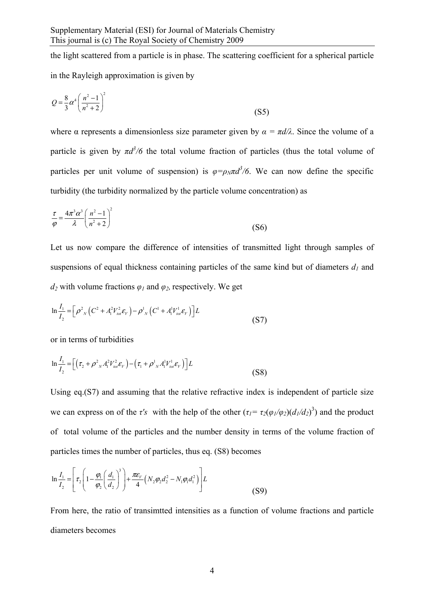the light scattered from a particle is in phase. The scattering coefficient for a spherical particle in the Rayleigh approximation is given by

$$
Q = \frac{8}{3}\alpha^4 \left(\frac{n^2 - 1}{n^2 + 2}\right)^2
$$
 (S5)

where  $\alpha$  represents a dimensionless size parameter given by  $\alpha = \pi d/\lambda$ . Since the volume of a particle is given by  $\pi d^3/6$  the total volume fraction of particles (thus the total volume of particles per unit volume of suspension) is  $\varphi = \rho_N \pi d^3/6$ . We can now define the specific turbidity (the turbidity normalized by the particle volume concentration) as

$$
\frac{\tau}{\varphi} = \frac{4\pi^3 \alpha^3}{\lambda} \left( \frac{n^2 - 1}{n^2 + 2} \right)^2 \tag{S6}
$$

Let us now compare the difference of intensities of transmitted light through samples of suspensions of equal thickness containing particles of the same kind but of diameters  $d_1$  and *d<sub>2</sub>* with volume fractions  $\varphi_1$  and  $\varphi_2$ , respectively. We get

$$
\ln \frac{I_1}{I_2} = \left[ \rho_{N}^2 \left( C^2 + A_1^2 V_{\text{tot}}^2 \mathcal{E}_{V} \right) - \rho_{N}^1 \left( C^1 + A_1^1 V_{\text{tot}}^1 \mathcal{E}_{V} \right) \right] L \tag{S7}
$$

or in terms of turbidities

$$
\ln \frac{I_1}{I_2} = \left[ \left( \tau_2 + \rho^2 {}_{N} A_1^2 V_{tot}^2 \mathcal{E}_V \right) - \left( \tau_1 + \rho^1 {}_{N} A_1^1 V_{tot}^1 \mathcal{E}_V \right) \right] L \tag{S8}
$$

Using eq.(S7) and assuming that the relative refractive index is independent of particle size we can express on of the *τ's* with the help of the other  $(\tau_1 = \tau_2(\varphi_1/\varphi_2)(d_1/d_2)^3)$  and the product of total volume of the particles and the number density in terms of the volume fraction of particles times the number of particles, thus eq. (S8) becomes

$$
\ln \frac{I_1}{I_2} = \left[ \tau_2 \left( 1 - \frac{\varphi_1}{\varphi_2} \left( \frac{d_1}{d_2} \right)^3 \right) + \frac{\pi \varepsilon_V}{4} \left( N_2 \varphi_2 d_2^2 - N_1 \varphi_1 d_1^2 \right) \right] L \tag{S9}
$$

From here, the ratio of transimtted intensities as a function of volume fractions and particle diameters becomes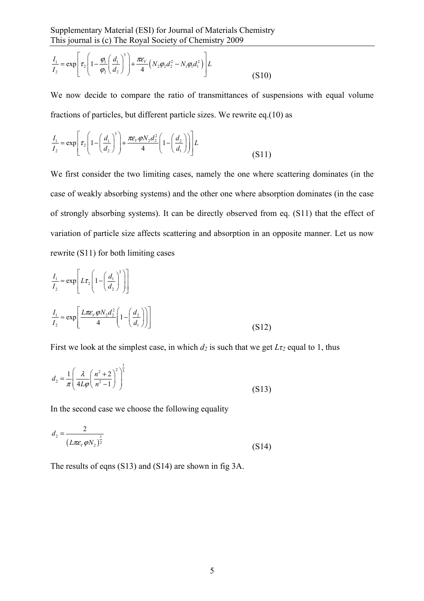$$
\frac{I_1}{I_2} = \exp\left[\tau_2 \left(1 - \frac{\varphi_1}{\varphi_2} \left(\frac{d_1}{d_2}\right)^3\right) + \frac{\pi \varepsilon_V}{4} \left(N_2 \varphi_2 d_2^2 - N_1 \varphi_1 d_1^2\right)\right] L\tag{S10}
$$

We now decide to compare the ratio of transmittances of suspensions with equal volume fractions of particles, but different particle sizes. We rewrite eq.(10) as

$$
\frac{I_1}{I_2} = \exp\left[\tau_2 \left(1 - \left(\frac{d_1}{d_2}\right)^3\right) + \frac{\pi \varepsilon_v \varphi N_2 d_2^2}{4} \left(1 - \left(\frac{d_2}{d_1}\right)\right)\right] L\tag{S11}
$$

We first consider the two limiting cases, namely the one where scattering dominates (in the case of weakly absorbing systems) and the other one where absorption dominates (in the case of strongly absorbing systems). It can be directly observed from eq. (S11) that the effect of variation of particle size affects scattering and absorption in an opposite manner. Let us now rewrite (S11) for both limiting cases

$$
\frac{I_1}{I_2} \approx \exp\left[L\tau_2 \left(1 - \left(\frac{d_1}{d_2}\right)^3\right)\right]
$$
\n
$$
\frac{I_1}{I_2} \approx \exp\left[\frac{L\pi\varepsilon_v \varphi N_2 d_2^2}{4} \left(1 - \left(\frac{d_2}{d_1}\right)\right)\right]
$$
\n(S12)

First we look at the simplest case, in which  $d_2$  is such that we get  $L\tau_2$  equal to 1, thus

$$
d_2 = \frac{1}{\pi} \left( \frac{\lambda}{4L\varphi} \left( \frac{n^2 + 2}{n^2 - 1} \right)^2 \right)^{\frac{1}{3}}
$$
(S13)

In the second case we choose the following equality

$$
d_2 = \frac{2}{(L\pi\varepsilon_v \varphi N_2)^{\frac{1}{2}}}
$$
 (S14)

The results of eqns (S13) and (S14) are shown in fig 3A.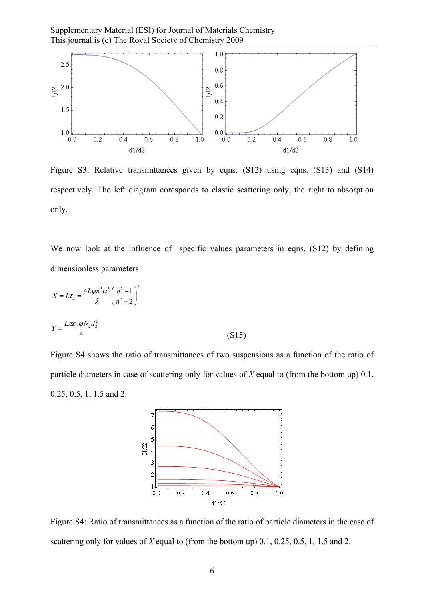

Figure S3: Relative transimitances given by eqns. (S12) using eqns. (S13) and (S14) respectively. The left diagram coresponds to elastic scattering only, the right to absorption only.

We now look at the influence of specific values parameters in eqns. (S12) by defining dimensionless parameters

$$
X = L\tau_2 = \frac{4L\varphi\pi^3\alpha^3}{\lambda} \left(\frac{n^2 - 1}{n^2 + 2}\right)^2
$$
  

$$
Y = \frac{L\pi\varepsilon_\nu\varphi N_2 d_2^2}{4}
$$
 (S15)

Figure S4 shows the ratio of transmittances of two suspensions as a function of the ratio of particle diameters in case of scattering only for values of *X* equal to (from the bottom up) 0.1, 0.25, 0.5, 1, 1.5 and 2.



Figure S4: Ratio of transmittances as a function of the ratio of particle diameters in the case of scattering only for values of *X* equal to (from the bottom up) 0.1, 0.25, 0.5, 1, 1.5 and 2.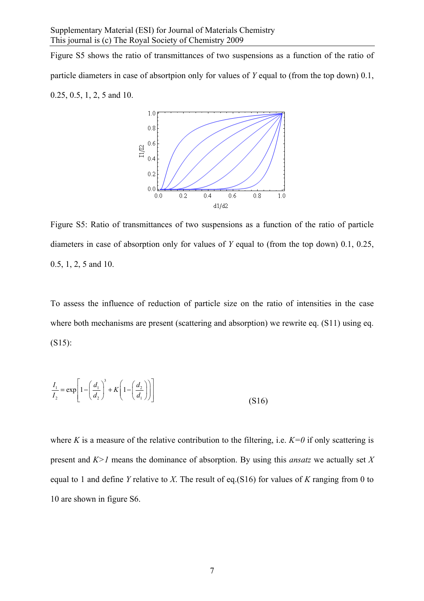Figure S5 shows the ratio of transmittances of two suspensions as a function of the ratio of particle diameters in case of absortpion only for values of *Y* equal to (from the top down) 0.1, 0.25, 0.5, 1, 2, 5 and 10.



Figure S5: Ratio of transmittances of two suspensions as a function of the ratio of particle diameters in case of absorption only for values of *Y* equal to (from the top down) 0.1, 0.25, 0.5, 1, 2, 5 and 10.

To assess the influence of reduction of particle size on the ratio of intensities in the case where both mechanisms are present (scattering and absorption) we rewrite eq. (S11) using eq. (S15):

$$
\frac{I_1}{I_2} = \exp\left[1 - \left(\frac{d_1}{d_2}\right)^3 + K\left(1 - \left(\frac{d_2}{d_1}\right)\right)\right]
$$
\n(S16)

where *K* is a measure of the relative contribution to the filtering, i.e.  $K=0$  if only scattering is present and *K>1* means the dominance of absorption. By using this *ansatz* we actually set *X* equal to 1 and define *Y* relative to *X*. The result of eq.(S16) for values of *K* ranging from 0 to 10 are shown in figure S6.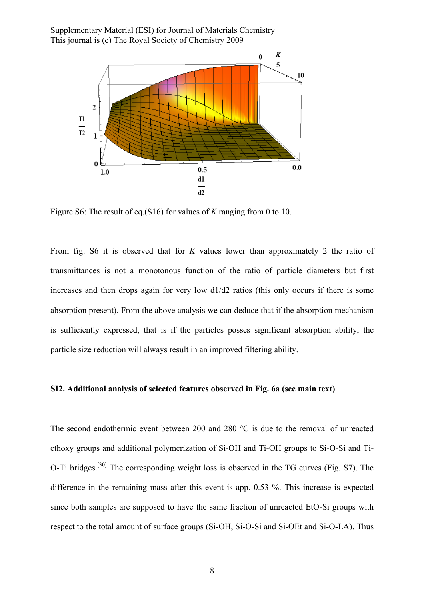

Figure S6: The result of eq.(S16) for values of *K* ranging from 0 to 10.

From fig. S6 it is observed that for *K* values lower than approximately 2 the ratio of transmittances is not a monotonous function of the ratio of particle diameters but first increases and then drops again for very low d1/d2 ratios (this only occurs if there is some absorption present). From the above analysis we can deduce that if the absorption mechanism is sufficiently expressed, that is if the particles posses significant absorption ability, the particle size reduction will always result in an improved filtering ability.

## **SI2. Additional analysis of selected features observed in Fig. 6a (see main text)**

The second endothermic event between 200 and 280 °C is due to the removal of unreacted ethoxy groups and additional polymerization of Si-OH and Ti-OH groups to Si-O-Si and Ti-O-Ti bridges.[30] The corresponding weight loss is observed in the TG curves (Fig. S7). The difference in the remaining mass after this event is app. 0.53 %. This increase is expected since both samples are supposed to have the same fraction of unreacted EtO-Si groups with respect to the total amount of surface groups (Si-OH, Si-O-Si and Si-OEt and Si-O-LA). Thus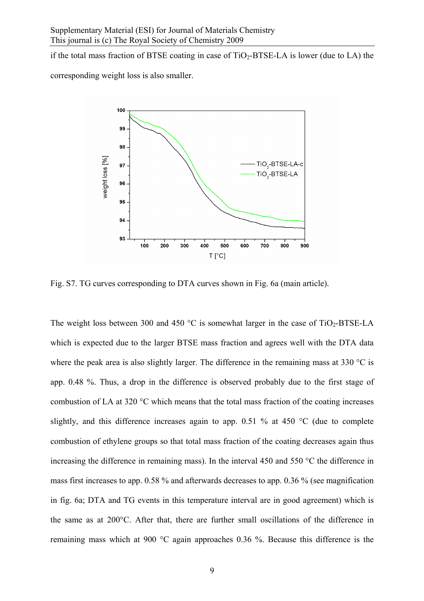if the total mass fraction of BTSE coating in case of  $TiO<sub>2</sub>-BTSE-LA$  is lower (due to LA) the

corresponding weight loss is also smaller.



Fig. S7. TG curves corresponding to DTA curves shown in Fig. 6a (main article).

The weight loss between 300 and 450  $\degree$ C is somewhat larger in the case of TiO<sub>2</sub>-BTSE-LA which is expected due to the larger BTSE mass fraction and agrees well with the DTA data where the peak area is also slightly larger. The difference in the remaining mass at 330 °C is app. 0.48 %. Thus, a drop in the difference is observed probably due to the first stage of combustion of LA at 320 °C which means that the total mass fraction of the coating increases slightly, and this difference increases again to app. 0.51 % at 450  $^{\circ}$ C (due to complete combustion of ethylene groups so that total mass fraction of the coating decreases again thus increasing the difference in remaining mass). In the interval 450 and 550 °C the difference in mass first increases to app. 0.58 % and afterwards decreases to app. 0.36 % (see magnification in fig. 6a; DTA and TG events in this temperature interval are in good agreement) which is the same as at 200°C. After that, there are further small oscillations of the difference in remaining mass which at 900 °C again approaches 0.36 %. Because this difference is the